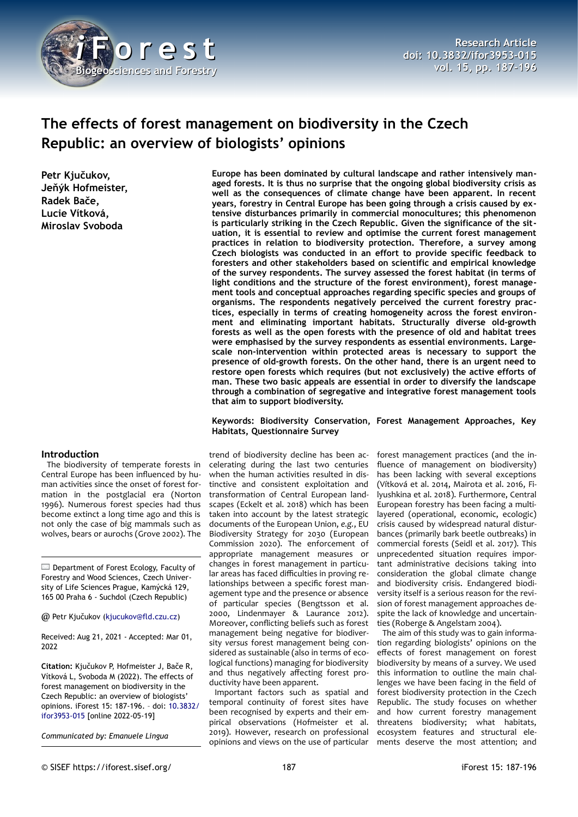

# **The effects of forest management on biodiversity in the Czech Republic: an overview of biologists' opinions**

**Petr Kjučukov, Jeňýk Hofmeister, Radek Bače, Lucie Vítková, Miroslav Svoboda**

#### **Introduction**

The biodiversity of temperate forests in Central Europe has been influenced by human activities since the onset of forest formation in the postglacial era (Norton 1996). Numerous forest species had thus become extinct a long time ago and this is not only the case of big mammals such as wolves, bears or aurochs (Grove 2002). The

Department of Forest Ecology, Faculty of Forestry and Wood Sciences, Czech University of Life Sciences Prague, Kamýcká 129, 165 00 Praha 6 - Suchdol (Czech Republic)

@ Petr Kjučukov ([kjucukov@fld.czu.cz\)](mailto:kjucukov@fld.czu.cz)

Received: Aug 21, 2021 - Accepted: Mar 01, 2022

**Citation:** Kjučukov P, Hofmeister J, Bače R, Vítková L, Svoboda M (2022). The effects of forest management on biodiversity in the Czech Republic: an overview of biologists' opinions. iForest 15: 187-196. – doi: [10.3832/](http://www.sisef.it/iforest/contents/?id=ifor3953-015) [ifor3953-015](http://www.sisef.it/iforest/contents/?id=ifor3953-015) [online 2022-05-19]

*Communicated by: Emanuele Lingua*

**Europe has been dominated by cultural landscape and rather intensively managed forests. It is thus no surprise that the ongoing global biodiversity crisis as well as the consequences of climate change have been apparent. In recent years, forestry in Central Europe has been going through a crisis caused by extensive disturbances primarily in commercial monocultures; this phenomenon is particularly striking in the Czech Republic. Given the significance of the situation, it is essential to review and optimise the current forest management practices in relation to biodiversity protection. Therefore, a survey among Czech biologists was conducted in an effort to provide specific feedback to foresters and other stakeholders based on scientific and empirical knowledge of the survey respondents. The survey assessed the forest habitat (in terms of light conditions and the structure of the forest environment), forest management tools and conceptual approaches regarding specific species and groups of organisms. The respondents negatively perceived the current forestry practices, especially in terms of creating homogeneity across the forest environment and eliminating important habitats. Structurally diverse old-growth forests as well as the open forests with the presence of old and habitat trees were emphasised by the survey respondents as essential environments. Largescale non-intervention within protected areas is necessary to support the presence of old-growth forests. On the other hand, there is an urgent need to restore open forests which requires (but not exclusively) the active efforts of man. These two basic appeals are essential in order to diversify the landscape through a combination of segregative and integrative forest management tools that aim to support biodiversity.**

#### **Keywords: Biodiversity Conservation, Forest Management Approaches, Key Habitats, Questionnaire Survey**

trend of biodiversity decline has been accelerating during the last two centuries when the human activities resulted in distinctive and consistent exploitation and transformation of Central European landscapes (Eckelt et al. 2018) which has been taken into account by the latest strategic documents of the European Union, *e.g.*, EU Biodiversity Strategy for 2030 (European Commission 2020). The enforcement of appropriate management measures or changes in forest management in particular areas has faced difficulties in proving relationships between a specific forest management type and the presence or absence of particular species (Bengtsson et al. 2000, Lindenmayer & Laurance 2012). Moreover, conflicting beliefs such as forest management being negative for biodiversity *versus* forest management being considered as sustainable (also in terms of ecological functions) managing for biodiversity and thus negatively affecting forest productivity have been apparent.

Important factors such as spatial and temporal continuity of forest sites have been recognised by experts and their empirical observations (Hofmeister et al. 2019). However, research on professional opinions and views on the use of particular

forest management practices (and the influence of management on biodiversity) has been lacking with several exceptions (Vítková et al. 2014, Mairota et al. 2016, Filyushkina et al. 2018). Furthermore, Central European forestry has been facing a multilayered (operational, economic, ecologic) crisis caused by widespread natural disturbances (primarily bark beetle outbreaks) in commercial forests (Seidl et al. 2017). This unprecedented situation requires important administrative decisions taking into consideration the global climate change and biodiversity crisis. Endangered biodiversity itself is a serious reason for the revision of forest management approaches despite the lack of knowledge and uncertainties (Roberge & Angelstam 2004).

The aim of this study was to gain information regarding biologists' opinions on the effects of forest management on forest biodiversity by means of a survey. We used this information to outline the main challenges we have been facing in the field of forest biodiversity protection in the Czech Republic. The study focuses on whether and how current forestry management threatens biodiversity; what habitats, ecosystem features and structural elements deserve the most attention; and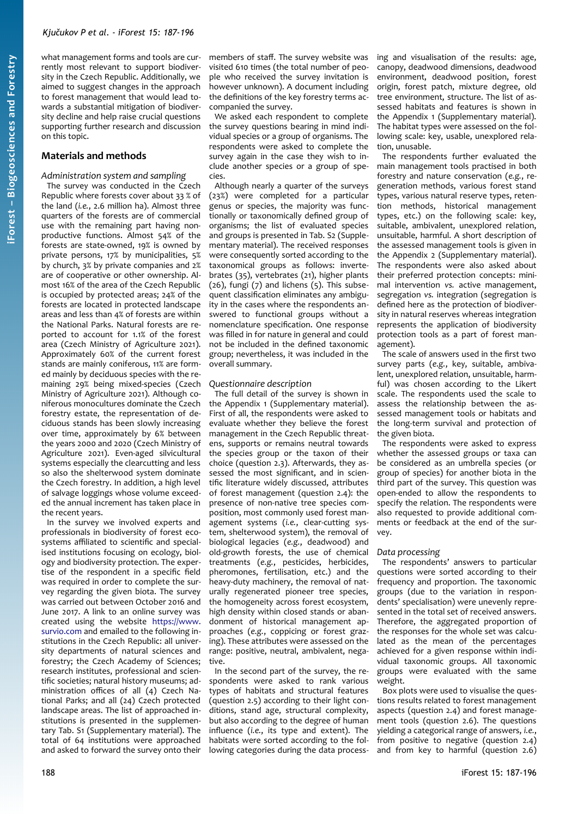what management forms and tools are currently most relevant to support biodiversity in the Czech Republic. Additionally, we aimed to suggest changes in the approach to forest management that would lead towards a substantial mitigation of biodiversity decline and help raise crucial questions supporting further research and discussion on this topic.

## **Materials and methods**

## *Administration system and sampling*

The survey was conducted in the Czech Republic where forests cover about 33 % of the land (*i.e.*, 2.6 million ha). Almost three quarters of the forests are of commercial use with the remaining part having nonproductive functions. Almost 54% of the forests are state-owned, 19% is owned by private persons, 17% by municipalities, 5% by church, 3% by private companies and 2% are of cooperative or other ownership. Almost 16% of the area of the Czech Republic is occupied by protected areas; 24% of the forests are located in protected landscape areas and less than 4% of forests are within the National Parks. Natural forests are reported to account for 1.1% of the forest area (Czech Ministry of Agriculture 2021). Approximately 60% of the current forest stands are mainly coniferous, 11% are formed mainly by deciduous species with the remaining 29% being mixed-species (Czech Ministry of Agriculture 2021). Although coniferous monocultures dominate the Czech forestry estate, the representation of deciduous stands has been slowly increasing over time, approximately by 6% between the years 2000 and 2020 (Czech Ministry of Agriculture 2021). Even-aged silvicultural systems especially the clearcutting and less so also the shelterwood system dominate the Czech forestry. In addition, a high level of salvage loggings whose volume exceeded the annual increment has taken place in the recent years.

In the survey we involved experts and professionals in biodiversity of forest ecosystems affiliated to scientific and specialised institutions focusing on ecology, biology and biodiversity protection. The expertise of the respondent in a specific field was required in order to complete the survey regarding the given biota. The survey was carried out between October 2016 and June 2017. A link to an online survey was created using the website [https://www.](https://www.survio.com/) [survio.com](https://www.survio.com/) and emailed to the following institutions in the Czech Republic: all university departments of natural sciences and forestry; the Czech Academy of Sciences; research institutes, professional and scientific societies; natural history museums; administration offices of all (4) Czech National Parks; and all (24) Czech protected landscape areas. The list of approached institutions is presented in the supplementary Tab. S1 (Supplementary material). The total of 64 institutions were approached and asked to forward the survey onto their

members of staff. The survey website was visited 610 times (the total number of people who received the survey invitation is however unknown). A document including the definitions of the key forestry terms accompanied the survey.

We asked each respondent to complete the survey questions bearing in mind individual species or a group of organisms. The respondents were asked to complete the survey again in the case they wish to include another species or a group of species.

Although nearly a quarter of the surveys (23%) were completed for a particular genus or species, the majority was functionally or taxonomically defined group of organisms; the list of evaluated species and groups is presented in Tab. S2 (Supplementary material). The received responses were consequently sorted according to the taxonomical groups as follows: invertebrates (35), vertebrates (21), higher plants (26), fungi (7) and lichens (5). This subsequent classification eliminates any ambiguity in the cases where the respondents answered to functional groups without a nomenclature specification. One response was filled in for nature in general and could not be included in the defined taxonomic group; nevertheless, it was included in the overall summary.

## *Questionnaire description*

The full detail of the survey is shown in the Appendix 1 (Supplementary material). First of all, the respondents were asked to evaluate whether they believe the forest management in the Czech Republic threatens, supports or remains neutral towards the species group or the taxon of their choice (question 2.3). Afterwards, they assessed the most significant, and in scientific literature widely discussed, attributes of forest management (question 2.4): the presence of non-native tree species composition, most commonly used forest management systems (*i.e.*, clear-cutting system, shelterwood system), the removal of biological legacies (*e.g.*, deadwood) and old-growth forests, the use of chemical treatments (*e.g.*, pesticides, herbicides, pheromones, fertilisation, etc.) and the heavy-duty machinery, the removal of naturally regenerated pioneer tree species, the homogeneity across forest ecosystem, high density within closed stands or abandonment of historical management approaches (*e.g.*, coppicing or forest grazing). These attributes were assessed on the range: positive, neutral, ambivalent, negative.

In the second part of the survey, the respondents were asked to rank various types of habitats and structural features (question 2.5) according to their light conditions, stand age, structural complexity, but also according to the degree of human influence (*i.e.*, its type and extent). The habitats were sorted according to the following categories during the data process-

ing and visualisation of the results: age, canopy, deadwood dimensions, deadwood environment, deadwood position, forest origin, forest patch, mixture degree, old tree environment, structure. The list of assessed habitats and features is shown in the Appendix 1 (Supplementary material). The habitat types were assessed on the following scale: key, usable, unexplored relation, unusable.

The respondents further evaluated the main management tools practised in both forestry and nature conservation (*e.g.*, regeneration methods, various forest stand types, various natural reserve types, retention methods, historical management types, etc.) on the following scale: key, suitable, ambivalent, unexplored relation, unsuitable, harmful. A short description of the assessed management tools is given in the Appendix 2 (Supplementary material). The respondents were also asked about their preferred protection concepts: minimal intervention *vs.* active management, segregation *vs.* integration (segregation is defined here as the protection of biodiversity in natural reserves whereas integration represents the application of biodiversity protection tools as a part of forest management).

The scale of answers used in the first two survey parts (*e.g.*, key, suitable, ambivalent, unexplored relation, unsuitable, harmful) was chosen according to the Likert scale. The respondents used the scale to assess the relationship between the assessed management tools or habitats and the long-term survival and protection of the given biota.

The respondents were asked to express whether the assessed groups or taxa can be considered as an umbrella species (or group of species) for another biota in the third part of the survey. This question was open-ended to allow the respondents to specify the relation. The respondents were also requested to provide additional comments or feedback at the end of the survey.

## *Data processing*

The respondents' answers to particular questions were sorted according to their frequency and proportion. The taxonomic groups (due to the variation in respondents' specialisation) were unevenly represented in the total set of received answers. Therefore, the aggregated proportion of the responses for the whole set was calculated as the mean of the percentages achieved for a given response within individual taxonomic groups. All taxonomic groups were evaluated with the same weight.

Box plots were used to visualise the questions results related to forest management aspects (question 2.4) and forest management tools (question 2.6). The questions yielding a categorical range of answers, *i.e.*, from positive to negative (question 2.4) and from key to harmful (question 2.6)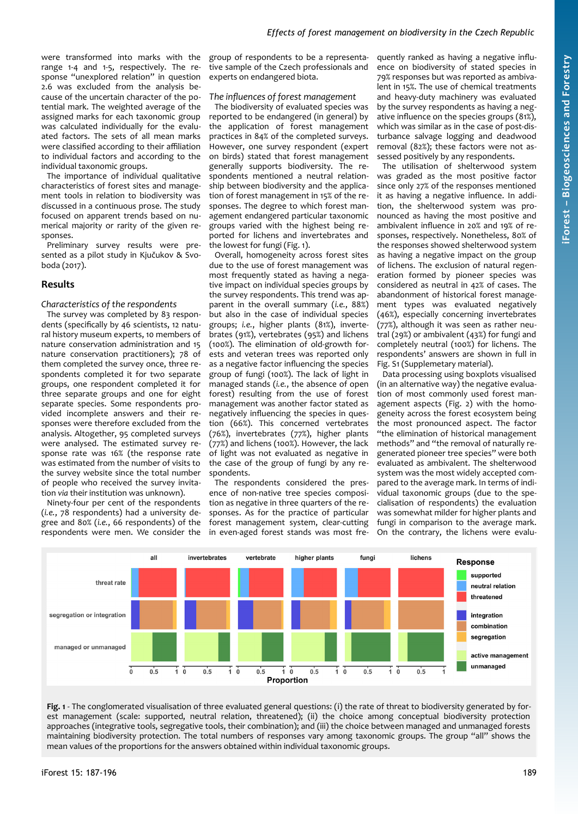were transformed into marks with the range 1-4 and 1-5, respectively. The response "unexplored relation" in question 2.6 was excluded from the analysis because of the uncertain character of the potential mark. The weighted average of the assigned marks for each taxonomic group was calculated individually for the evaluated factors. The sets of all mean marks were classified according to their affiliation to individual factors and according to the individual taxonomic groups.

The importance of individual qualitative characteristics of forest sites and management tools in relation to biodiversity was discussed in a continuous prose. The study focused on apparent trends based on numerical majority or rarity of the given responses.

Preliminary survey results were presented as a pilot study in Kjučukov & Svoboda (2017).

## **Results**

*Characteristics of the respondents*

The survey was completed by 83 respondents (specifically by 46 scientists, 12 natural history museum experts, 10 members of nature conservation administration and 15 nature conservation practitioners); 78 of them completed the survey once, three respondents completed it for two separate groups, one respondent completed it for three separate groups and one for eight separate species. Some respondents provided incomplete answers and their responses were therefore excluded from the analysis. Altogether, 95 completed surveys were analysed. The estimated survey response rate was 16% (the response rate was estimated from the number of visits to the survey website since the total number of people who received the survey invitation *via* their institution was unknown).

Ninety-four per cent of the respondents (*i.e.*, 78 respondents) had a university degree and 80% (*i.e.*, 66 respondents) of the respondents were men. We consider the group of respondents to be a representative sample of the Czech professionals and experts on endangered biota.

#### *The influences of forest management*

The biodiversity of evaluated species was reported to be endangered (in general) by the application of forest management practices in 84% of the completed surveys. However, one survey respondent (expert on birds) stated that forest management generally supports biodiversity. The respondents mentioned a neutral relationship between biodiversity and the application of forest management in 15% of the responses. The degree to which forest management endangered particular taxonomic groups varied with the highest being reported for lichens and invertebrates and the lowest for fungi [\(Fig. 1](#page-2-0)).

Overall, homogeneity across forest sites due to the use of forest management was most frequently stated as having a negative impact on individual species groups by the survey respondents. This trend was apparent in the overall summary (*i.e.*, 88%) but also in the case of individual species groups; *i.e.*, higher plants (81%), invertebrates (91%), vertebrates (95%) and lichens (100%). The elimination of old-growth forests and veteran trees was reported only as a negative factor influencing the species group of fungi (100%). The lack of light in managed stands (*i.e.*, the absence of open forest) resulting from the use of forest management was another factor stated as negatively influencing the species in question (66%). This concerned vertebrates (76%), invertebrates (77%), higher plants (77%) and lichens (100%). However, the lack of light was not evaluated as negative in the case of the group of fungi by any respondents.

The respondents considered the presence of non-native tree species composition as negative in three quarters of the responses. As for the practice of particular forest management system, clear-cutting in even-aged forest stands was most frequently ranked as having a negative influence on biodiversity of stated species in 79% responses but was reported as ambivalent in 15%. The use of chemical treatments and heavy-duty machinery was evaluated by the survey respondents as having a negative influence on the species groups (81%), which was similar as in the case of post-disturbance salvage logging and deadwood removal (82%); these factors were not assessed positively by any respondents.

The utilisation of shelterwood system was graded as the most positive factor since only 27% of the responses mentioned it as having a negative influence. In addition, the shelterwood system was pronounced as having the most positive and ambivalent influence in 20% and 19% of responses, respectively. Nonetheless, 80% of the responses showed shelterwood system as having a negative impact on the group of lichens. The exclusion of natural regeneration formed by pioneer species was considered as neutral in 42% of cases. The abandonment of historical forest management types was evaluated negatively (46%), especially concerning invertebrates (77%), although it was seen as rather neutral (29%) or ambivalent (43%) for fungi and completely neutral (100%) for lichens. The respondents' answers are shown in full in Fig. S1 (Supplemetary material).

Data processing using boxplots visualised (in an alternative way) the negative evaluation of most commonly used forest management aspects [\(Fig. 2\)](#page-3-0) with the homogeneity across the forest ecosystem being the most pronounced aspect. The factor "the elimination of historical management methods" and "the removal of naturally regenerated pioneer tree species" were both evaluated as ambivalent. The shelterwood system was the most widely accepted compared to the average mark. In terms of individual taxonomic groups (due to the specialisation of respondents) the evaluation was somewhat milder for higher plants and fungi in comparison to the average mark. On the contrary, the lichens were evalu-



<span id="page-2-0"></span>**Fig. 1** - The conglomerated visualisation of three evaluated general questions: (i) the rate of threat to biodiversity generated by forest management (scale: supported, neutral relation, threatened); (ii) the choice among conceptual biodiversity protection approaches (integrative tools, segregative tools, their combination); and (iii) the choice between managed and unmanaged forests maintaining biodiversity protection. The total numbers of responses vary among taxonomic groups. The group "all" shows the mean values of the proportions for the answers obtained within individual taxonomic groups.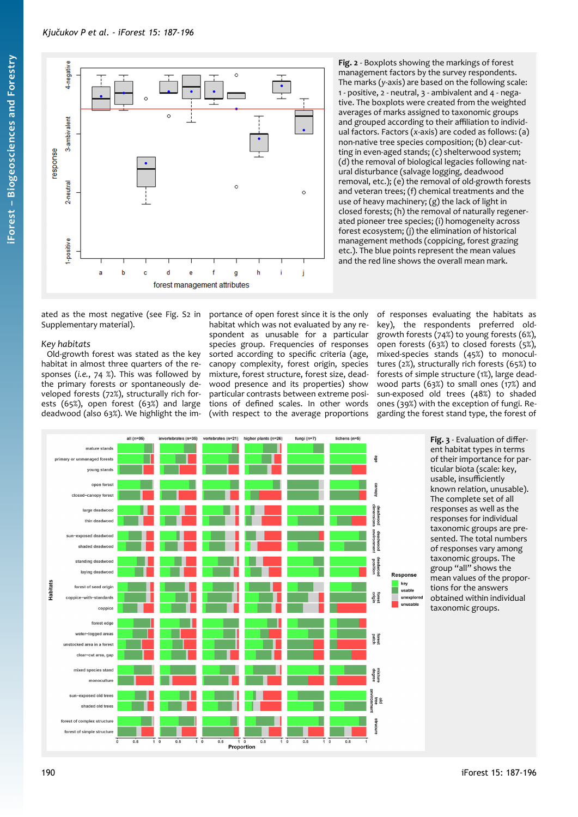

<span id="page-3-0"></span>**Fig. 2** - Boxplots showing the markings of forest management factors by the survey respondents. The marks (*y*-axis) are based on the following scale: 1 - positive, 2 - neutral, 3 - ambivalent and 4 - negative. The boxplots were created from the weighted averages of marks assigned to taxonomic groups and grouped according to their affiliation to individual factors. Factors (*x*-axis) are coded as follows: (a) non-native tree species composition; (b) clear-cutting in even-aged stands; (c) shelterwood system; (d) the removal of biological legacies following natural disturbance (salvage logging, deadwood removal, etc.); (e) the removal of old-growth forests and veteran trees; (f) chemical treatments and the use of heavy machinery; (g) the lack of light in closed forests; (h) the removal of naturally regenerated pioneer tree species; (i) homogeneity across forest ecosystem; (j) the elimination of historical management methods (coppicing, forest grazing etc.). The blue points represent the mean values and the red line shows the overall mean mark.

ated as the most negative (see Fig. S2 in Supplementary material).

## *Key habitats*

Old-growth forest was stated as the key habitat in almost three quarters of the responses (*i.e.*, 74 %). This was followed by the primary forests or spontaneously developed forests (72%), structurally rich forests (65%), open forest (63%) and large deadwood (also 63%). We highlight the importance of open forest since it is the only habitat which was not evaluated by any respondent as unusable for a particular species group. Frequencies of responses sorted according to specific criteria (age, canopy complexity, forest origin, species mixture, forest structure, forest size, deadwood presence and its properties) show particular contrasts between extreme positions of defined scales. In other words (with respect to the average proportions <span id="page-3-1"></span>of responses evaluating the habitats as key), the respondents preferred oldgrowth forests (74%) to young forests (6%), open forests (63%) to closed forests (5%), mixed-species stands (45%) to monocultures (2%), structurally rich forests (65%) to forests of simple structure (1%), large deadwood parts (63%) to small ones (17%) and sun-exposed old trees (48%) to shaded ones (39%) with the exception of fungi. Regarding the forest stand type, the forest of

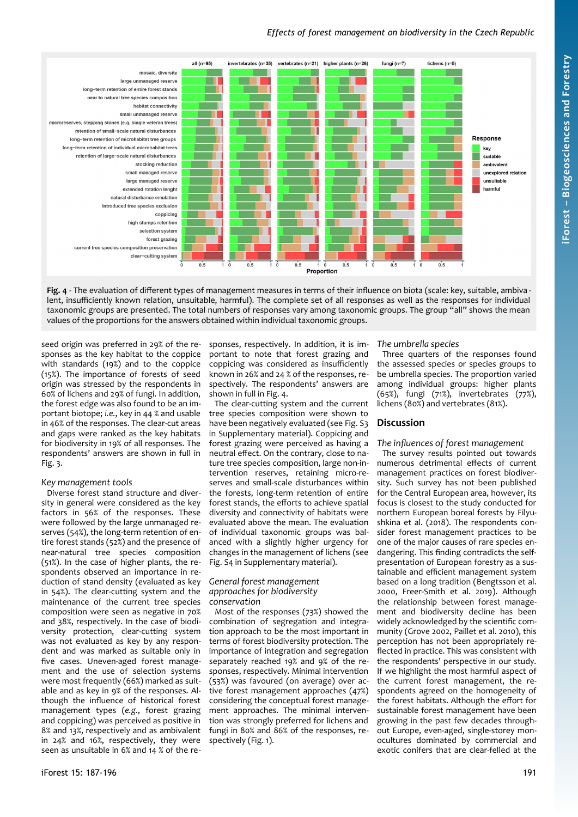# *Effects of forest management on biodiversity in the Czech Republic*



<span id="page-4-0"></span>**Fig. 4** - The evaluation of different types of management measures in terms of their influence on biota (scale: key, suitable, ambiva lent, insufficiently known relation, unsuitable, harmful). The complete set of all responses as well as the responses for individual taxonomic groups are presented. The total numbers of responses vary among taxonomic groups. The group "all" shows the mean values of the proportions for the answers obtained within individual taxonomic groups.

seed origin was preferred in 29% of the responses as the key habitat to the coppice with standards (19%) and to the coppice (15%). The importance of forests of seed origin was stressed by the respondents in 60% of lichens and 29% of fungi. In addition, the forest edge was also found to be an important biotope; *i.e.*, key in 44 % and usable in 46% of the responses. The clear-cut areas and gaps were ranked as the key habitats for biodiversity in 19% of all responses. The respondents' answers are shown in full in [Fig. 3](#page-3-1).

# *Key management tools*

Diverse forest stand structure and diversity in general were considered as the key factors in 56% of the responses. These were followed by the large unmanaged reserves (54%), the long-term retention of entire forest stands (52%) and the presence of near-natural tree species composition (51%). In the case of higher plants, the respondents observed an importance in reduction of stand density (evaluated as key in 54%). The clear-cutting system and the maintenance of the current tree species composition were seen as negative in 70% and 38%, respectively. In the case of biodiversity protection, clear-cutting system was not evaluated as key by any respondent and was marked as suitable only in five cases. Uneven-aged forest management and the use of selection systems were most frequently (66%) marked as suitable and as key in 9% of the responses. Although the influence of historical forest management types (*e.g.*, forest grazing and coppicing) was perceived as positive in 8% and 13%, respectively and as ambivalent in 24% and 16%, respectively, they were seen as unsuitable in 6% and 14 % of the re-

sponses, respectively. In addition, it is important to note that forest grazing and coppicing was considered as insufficiently known in 26% and 24 % of the responses, respectively. The respondents' answers are shown in full in [Fig. 4.](#page-4-0)

The clear-cutting system and the current tree species composition were shown to have been negatively evaluated (see Fig. S3 in Supplementary material). Coppicing and forest grazing were perceived as having a neutral effect. On the contrary, close to nature tree species composition, large non-intervention reserves, retaining micro-reserves and small-scale disturbances within the forests, long-term retention of entire forest stands, the efforts to achieve spatial diversity and connectivity of habitats were evaluated above the mean. The evaluation of individual taxonomic groups was balanced with a slightly higher urgency for changes in the management of lichens (see Fig. S4 in Supplementary material).

#### *General forest management approaches for biodiversity conservation*

Most of the responses (73%) showed the combination of segregation and integration approach to be the most important in terms of forest biodiversity protection. The importance of integration and segregation separately reached 19% and 9% of the responses, respectively. Minimal intervention (53%) was favoured (on average) over active forest management approaches (47%) considering the conceptual forest management approaches. The minimal intervention was strongly preferred for lichens and fungi in 80% and 86% of the responses, respectively [\(Fig. 1](#page-2-0)).

## *The umbrella species*

Three quarters of the responses found the assessed species or species groups to be umbrella species. The proportion varied among individual groups: higher plants (65%), fungi (71%), invertebrates (77%), lichens (80%) and vertebrates (81%).

# **Discussion**

## *The influences of forest management*

The survey results pointed out towards numerous detrimental effects of current management practices on forest biodiversity. Such survey has not been published for the Central European area, however, its focus is closest to the study conducted for northern European boreal forests by Filyushkina et al. (2018). The respondents consider forest management practices to be one of the major causes of rare species endangering. This finding contradicts the selfpresentation of European forestry as a sustainable and efficient management system based on a long tradition (Bengtsson et al. 2000, Freer-Smith et al. 2019). Although the relationship between forest management and biodiversity decline has been widely acknowledged by the scientific community (Grove 2002, Paillet et al. 2010), this perception has not been appropriately reflected in practice. This was consistent with the respondents' perspective in our study. If we highlight the most harmful aspect of the current forest management, the respondents agreed on the homogeneity of the forest habitats. Although the effort for sustainable forest management have been growing in the past few decades throughout Europe, even-aged, single-storey monocultures dominated by commercial and exotic conifers that are clear-felled at the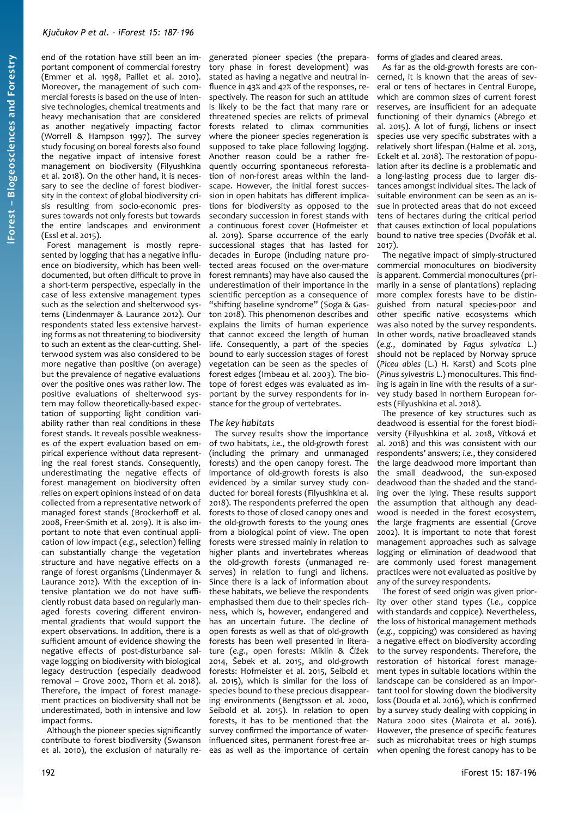end of the rotation have still been an important component of commercial forestry (Emmer et al. 1998, Paillet et al. 2010). Moreover, the management of such commercial forests is based on the use of intensive technologies, chemical treatments and heavy mechanisation that are considered as another negatively impacting factor (Worrell & Hampson 1997). The survey study focusing on boreal forests also found the negative impact of intensive forest management on biodiversity (Filyushkina et al. 2018). On the other hand, it is necessary to see the decline of forest biodiversity in the context of global biodiversity crisis resulting from socio-economic pressures towards not only forests but towards the entire landscapes and environment (Essl et al. 2015).

Forest management is mostly represented by logging that has a negative influence on biodiversity, which has been welldocumented, but often difficult to prove in a short-term perspective, especially in the case of less extensive management types such as the selection and shelterwood systems (Lindenmayer & Laurance 2012). Our respondents stated less extensive harvesting forms as not threatening to biodiversity to such an extent as the clear-cutting. Shelterwood system was also considered to be more negative than positive (on average) but the prevalence of negative evaluations over the positive ones was rather low. The positive evaluations of shelterwood system may follow theoretically-based expectation of supporting light condition variability rather than real conditions in these forest stands. It reveals possible weaknesses of the expert evaluation based on empirical experience without data representing the real forest stands. Consequently, underestimating the negative effects of forest management on biodiversity often relies on expert opinions instead of on data collected from a representative network of managed forest stands (Brockerhoff et al. 2008, Freer-Smith et al. 2019). It is also important to note that even continual application of low impact (*e.g.*, selection) felling can substantially change the vegetation structure and have negative effects on a range of forest organisms (Lindenmayer & Laurance 2012). With the exception of intensive plantation we do not have sufficiently robust data based on regularly managed forests covering different environmental gradients that would support the expert observations. In addition, there is a sufficient amount of evidence showing the negative effects of post-disturbance salvage logging on biodiversity with biological legacy destruction (especially deadwood removal – Grove 2002, Thorn et al. 2018). Therefore, the impact of forest management practices on biodiversity shall not be underestimated, both in intensive and low impact forms.

Although the pioneer species significantly contribute to forest biodiversity (Swanson et al. 2010), the exclusion of naturally regenerated pioneer species (the preparatory phase in forest development) was stated as having a negative and neutral influence in 43% and 42% of the responses, respectively. The reason for such an attitude is likely to be the fact that many rare or threatened species are relicts of primeval forests related to climax communities where the pioneer species regeneration is supposed to take place following logging. Another reason could be a rather frequently occurring spontaneous reforestation of non-forest areas within the landscape. However, the initial forest succession in open habitats has different implications for biodiversity as opposed to the secondary succession in forest stands with a continuous forest cover (Hofmeister et al. 2019). Sparse occurrence of the early successional stages that has lasted for decades in Europe (including nature protected areas focused on the over-mature forest remnants) may have also caused the underestimation of their importance in the scientific perception as a consequence of "shifting baseline syndrome" (Soga & Gaston 2018). This phenomenon describes and explains the limits of human experience that cannot exceed the length of human life. Consequently, a part of the species bound to early succession stages of forest vegetation can be seen as the species of forest edges (Imbeau et al. 2003). The biotope of forest edges was evaluated as important by the survey respondents for instance for the group of vertebrates.

## *The key habitats*

The survey results show the importance of two habitats, *i.e.*, the old-growth forest (including the primary and unmanaged forests) and the open canopy forest. The importance of old-growth forests is also evidenced by a similar survey study conducted for boreal forests (Filyushkina et al. 2018). The respondents preferred the open forests to those of closed canopy ones and the old-growth forests to the young ones from a biological point of view. The open forests were stressed mainly in relation to higher plants and invertebrates whereas the old-growth forests (unmanaged reserves) in relation to fungi and lichens. Since there is a lack of information about these habitats, we believe the respondents emphasised them due to their species richness, which is, however, endangered and has an uncertain future. The decline of open forests as well as that of old-growth forests has been well presented in literature (*e.g.*, open forests: Miklín & Čížek 2014, Šebek et al. 2015, and old-growth forests: Hofmeister et al. 2015, Seibold et al. 2015), which is similar for the loss of species bound to these precious disappearing environments (Bengtsson et al. 2000, Seibold et al. 2015). In relation to open forests, it has to be mentioned that the survey confirmed the importance of waterinfluenced sites, permanent forest-free areas as well as the importance of certain forms of glades and cleared areas.

As far as the old-growth forests are concerned, it is known that the areas of several or tens of hectares in Central Europe, which are common sizes of current forest reserves, are insufficient for an adequate functioning of their dynamics (Abrego et al. 2015). A lot of fungi, lichens or insect species use very specific substrates with a relatively short lifespan (Halme et al. 2013, Eckelt et al. 2018). The restoration of population after its decline is a problematic and a long-lasting process due to larger distances amongst individual sites. The lack of suitable environment can be seen as an issue in protected areas that do not exceed tens of hectares during the critical period that causes extinction of local populations bound to native tree species (Dvořák et al. 2017).

The negative impact of simply-structured commercial monocultures on biodiversity is apparent. Commercial monocultures (primarily in a sense of plantations) replacing more complex forests have to be distinguished from natural species-poor and other specific native ecosystems which was also noted by the survey respondents. In other words, native broadleaved stands (*e.g.*, dominated by *Fagus sylvatica* L.) should not be replaced by Norway spruce (*Picea abies* (L.) H. Karst) and Scots pine (*Pinus sylvestris* L.) monocultures. This finding is again in line with the results of a survey study based in northern European forests (Filyushkina et al. 2018).

The presence of key structures such as deadwood is essential for the forest biodiversity (Filyushkina et al. 2018, Vítková et al. 2018) and this was consistent with our respondents' answers; *i.e.*, they considered the large deadwood more important than the small deadwood, the sun-exposed deadwood than the shaded and the standing over the lying. These results support the assumption that although any deadwood is needed in the forest ecosystem, the large fragments are essential (Grove 2002). It is important to note that forest management approaches such as salvage logging or elimination of deadwood that are commonly used forest management practices were not evaluated as positive by any of the survey respondents.

The forest of seed origin was given priority over other stand types (*i.e.*, coppice with standards and coppice). Nevertheless, the loss of historical management methods (*e.g.*, coppicing) was considered as having a negative effect on biodiversity according to the survey respondents. Therefore, the restoration of historical forest management types in suitable locations within the landscape can be considered as an important tool for slowing down the biodiversity loss (Douda et al. 2016), which is confirmed by a survey study dealing with coppicing in Natura 2000 sites (Mairota et al. 2016). However, the presence of specific features such as microhabitat trees or high stumps when opening the forest canopy has to be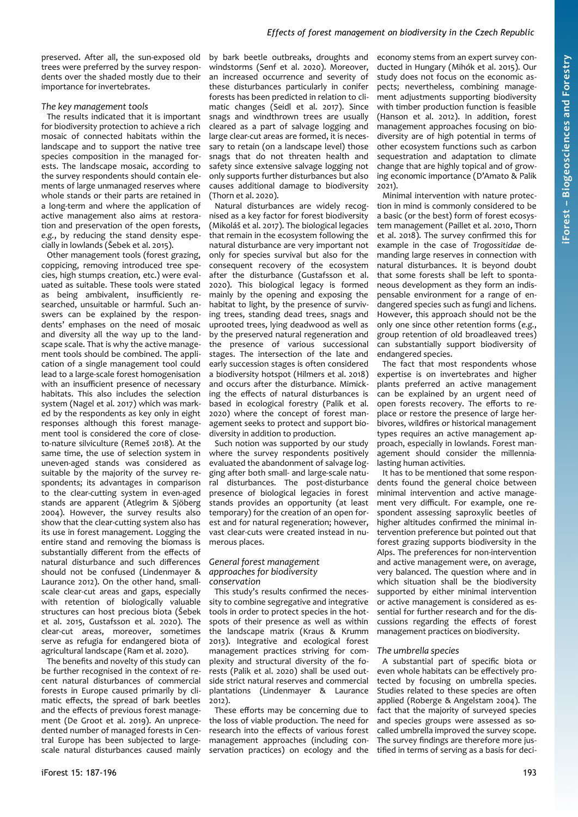## *Effects of forest management on biodiversity in the Czech Republic*

preserved. After all, the sun-exposed old trees were preferred by the survey respondents over the shaded mostly due to their importance for invertebrates.

#### *The key management tools*

The results indicated that it is important for biodiversity protection to achieve a rich mosaic of connected habitats within the landscape and to support the native tree species composition in the managed forests. The landscape mosaic, according to the survey respondents should contain elements of large unmanaged reserves where whole stands or their parts are retained in a long-term and where the application of active management also aims at restoration and preservation of the open forests, *e.g.*, by reducing the stand density especially in lowlands (Šebek et al. 2015).

Other management tools (forest grazing, coppicing, removing introduced tree species, high stumps creation, etc.) were evaluated as suitable. These tools were stated as being ambivalent, insufficiently researched, unsuitable or harmful. Such answers can be explained by the respondents' emphases on the need of mosaic and diversity all the way up to the landscape scale. That is why the active management tools should be combined. The application of a single management tool could lead to a large-scale forest homogenisation with an insufficient presence of necessary habitats. This also includes the selection system (Nagel et al. 2017) which was marked by the respondents as key only in eight responses although this forest management tool is considered the core of closeto-nature silviculture (Remeš 2018). At the same time, the use of selection system in uneven-aged stands was considered as suitable by the majority of the survey respondents; its advantages in comparison to the clear-cutting system in even-aged stands are apparent (Atlegrim & Sjöberg 2004). However, the survey results also show that the clear-cutting system also has its use in forest management. Logging the entire stand and removing the biomass is substantially different from the effects of natural disturbance and such differences should not be confused (Lindenmayer & Laurance 2012). On the other hand, smallscale clear-cut areas and gaps, especially with retention of biologically valuable structures can host precious biota (Šebek et al. 2015, Gustafsson et al. 2020). The clear-cut areas, moreover, sometimes serve as refugia for endangered biota of agricultural landscape (Ram et al. 2020).

The benefits and novelty of this study can be further recognised in the context of recent natural disturbances of commercial forests in Europe caused primarily by climatic effects, the spread of bark beetles and the effects of previous forest management (De Groot et al. 2019). An unprecedented number of managed forests in Central Europe has been subjected to largescale natural disturbances caused mainly

by bark beetle outbreaks, droughts and windstorms (Senf et al. 2020). Moreover, an increased occurrence and severity of these disturbances particularly in conifer forests has been predicted in relation to climatic changes (Seidl et al. 2017). Since snags and windthrown trees are usually cleared as a part of salvage logging and large clear-cut areas are formed, it is necessary to retain (on a landscape level) those snags that do not threaten health and safety since extensive salvage logging not only supports further disturbances but also causes additional damage to biodiversity (Thorn et al. 2020).

Natural disturbances are widely recognised as a key factor for forest biodiversity (Mikoláš et al. 2017). The biological legacies that remain in the ecosystem following the natural disturbance are very important not only for species survival but also for the consequent recovery of the ecosystem after the disturbance (Gustafsson et al. 2020). This biological legacy is formed mainly by the opening and exposing the habitat to light, by the presence of surviving trees, standing dead trees, snags and uprooted trees, lying deadwood as well as by the preserved natural regeneration and the presence of various successional stages. The intersection of the late and early succession stages is often considered a biodiversity hotspot (Hilmers et al. 2018) and occurs after the disturbance. Mimicking the effects of natural disturbances is based in ecological forestry (Palik et al. 2020) where the concept of forest management seeks to protect and support biodiversity in addition to production.

Such notion was supported by our study where the survey respondents positively evaluated the abandonment of salvage logging after both small- and large-scale natural disturbances. The post-disturbance presence of biological legacies in forest stands provides an opportunity (at least temporary) for the creation of an open forest and for natural regeneration; however, vast clear-cuts were created instead in numerous places.

#### *General forest management approaches for biodiversity conservation*

This study's results confirmed the necessity to combine segregative and integrative tools in order to protect species in the hotspots of their presence as well as within the landscape matrix (Kraus & Krumm 2013). Integrative and ecological forest management practices striving for complexity and structural diversity of the forests (Palik et al. 2020) shall be used outside strict natural reserves and commercial plantations (Lindenmayer & Laurance 2012).

These efforts may be concerning due to the loss of viable production. The need for research into the effects of various forest management approaches (including conservation practices) on ecology and the

economy stems from an expert survey conducted in Hungary (Mihók et al. 2015). Our study does not focus on the economic aspects; nevertheless, combining management adjustments supporting biodiversity with timber production function is feasible (Hanson et al. 2012). In addition, forest management approaches focusing on biodiversity are of high potential in terms of other ecosystem functions such as carbon sequestration and adaptation to climate change that are highly topical and of growing economic importance (D'Amato & Palik 2021).

Minimal intervention with nature protection in mind is commonly considered to be a basic (or the best) form of forest ecosystem management (Paillet et al. 2010, Thorn et al. 2018). The survey confirmed this for example in the case of *Trogossitidae* demanding large reserves in connection with natural disturbances. It is beyond doubt that some forests shall be left to spontaneous development as they form an indispensable environment for a range of endangered species such as fungi and lichens. However, this approach should not be the only one since other retention forms (*e.g.*, group retention of old broadleaved trees) can substantially support biodiversity of endangered species.

The fact that most respondents whose expertise is on invertebrates and higher plants preferred an active management can be explained by an urgent need of open forests recovery. The efforts to replace or restore the presence of large herbivores, wildfires or historical management types requires an active management approach, especially in lowlands. Forest management should consider the millennialasting human activities.

It has to be mentioned that some respondents found the general choice between minimal intervention and active management very difficult. For example, one respondent assessing saproxylic beetles of higher altitudes confirmed the minimal intervention preference but pointed out that forest grazing supports biodiversity in the Alps. The preferences for non-intervention and active management were, on average, very balanced. The question where and in which situation shall be the biodiversity supported by either minimal intervention or active management is considered as essential for further research and for the discussions regarding the effects of forest management practices on biodiversity.

#### *The umbrella species*

A substantial part of specific biota or even whole habitats can be effectively protected by focusing on umbrella species. Studies related to these species are often applied (Roberge & Angelstam 2004). The fact that the majority of surveyed species and species groups were assessed as socalled umbrella improved the survey scope. The survey findings are therefore more justified in terms of serving as a basis for deci-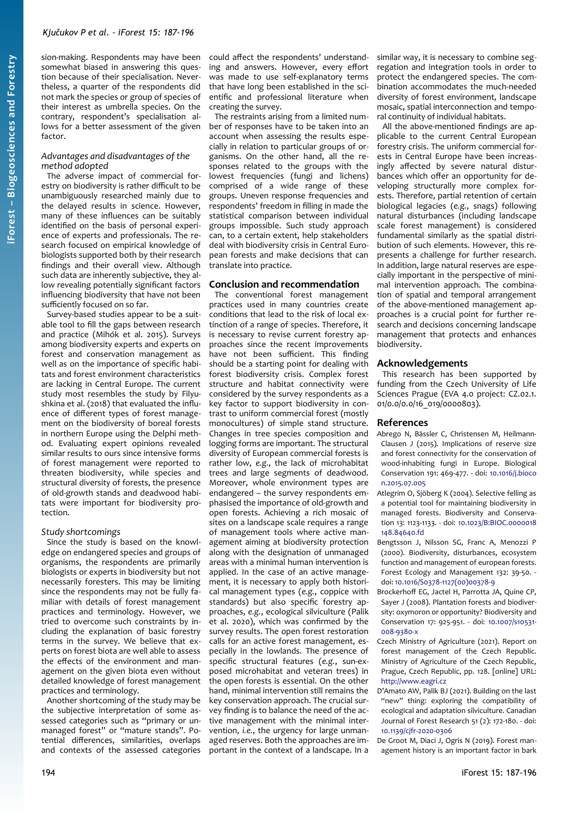sion-making. Respondents may have been somewhat biased in answering this question because of their specialisation. Nevertheless, a quarter of the respondents did not mark the species or group of species of their interest as umbrella species. On the contrary, respondent's specialisation allows for a better assessment of the given factor

## *Advantages and disadvantages of the method adopted*

The adverse impact of commercial forestry on biodiversity is rather difficult to be unambiguously researched mainly due to the delayed results in science. However, many of these influences can be suitably identified on the basis of personal experience of experts and professionals. The research focused on empirical knowledge of biologists supported both by their research findings and their overall view. Although such data are inherently subjective, they allow revealing potentially significant factors influencing biodiversity that have not been sufficiently focused on so far.

Survey-based studies appear to be a suitable tool to fill the gaps between research and practice (Mihók et al. 2015). Surveys among biodiversity experts and experts on forest and conservation management as well as on the importance of specific habitats and forest environment characteristics are lacking in Central Europe. The current study most resembles the study by Filyushkina et al. (2018) that evaluated the influence of different types of forest management on the biodiversity of boreal forests in northern Europe using the Delphi method. Evaluating expert opinions revealed similar results to ours since intensive forms of forest management were reported to threaten biodiversity, while species and structural diversity of forests, the presence of old-growth stands and deadwood habitats were important for biodiversity protection.

## *Study shortcomings*

Since the study is based on the knowledge on endangered species and groups of organisms, the respondents are primarily biologists or experts in biodiversity but not necessarily foresters. This may be limiting since the respondents may not be fully familiar with details of forest management practices and terminology. However, we tried to overcome such constraints by including the explanation of basic forestry terms in the survey. We believe that experts on forest biota are well able to assess the effects of the environment and management on the given biota even without detailed knowledge of forest management practices and terminology.

Another shortcoming of the study may be the subjective interpretation of some assessed categories such as "primary or unmanaged forest" or "mature stands". Potential differences, similarities, overlaps and contexts of the assessed categories could affect the respondents' understanding and answers. However, every effort was made to use self-explanatory terms that have long been established in the scientific and professional literature when creating the survey.

The restraints arising from a limited number of responses have to be taken into an account when assessing the results especially in relation to particular groups of organisms. On the other hand, all the responses related to the groups with the lowest frequencies (fungi and lichens) comprised of a wide range of these groups. Uneven response frequencies and respondents' freedom in filling in made the statistical comparison between individual groups impossible. Such study approach can, to a certain extent, help stakeholders deal with biodiversity crisis in Central European forests and make decisions that can translate into practice.

## **Conclusion and recommendation**

The conventional forest management practices used in many countries create conditions that lead to the risk of local extinction of a range of species. Therefore, it is necessary to revise current forestry approaches since the recent improvements have not been sufficient. This finding should be a starting point for dealing with forest biodiversity crisis. Complex forest structure and habitat connectivity were considered by the survey respondents as a key factor to support biodiversity in contrast to uniform commercial forest (mostly monocultures) of simple stand structure. Changes in tree species composition and logging forms are important. The structural diversity of European commercial forests is rather low, *e.g.*, the lack of microhabitat trees and large segments of deadwood. Moreover, whole environment types are endangered – the survey respondents emphasised the importance of old-growth and open forests. Achieving a rich mosaic of sites on a landscape scale requires a range of management tools where active management aiming at biodiversity protection along with the designation of unmanaged areas with a minimal human intervention is applied. In the case of an active management, it is necessary to apply both historical management types (*e.g.*, coppice with standards) but also specific forestry approaches, *e.g.*, ecological silviculture (Palik et al. 2020), which was confirmed by the survey results. The open forest restoration calls for an active forest management, especially in the lowlands. The presence of specific structural features (*e.g.*, sun-exposed microhabitat and veteran trees) in the open forests is essential. On the other hand, minimal intervention still remains the key conservation approach. The crucial survey finding is to balance the need of the active management with the minimal intervention, *i.e.*, the urgency for large unmanaged reserves. Both the approaches are important in the context of a landscape. In a

similar way, it is necessary to combine segregation and integration tools in order to protect the endangered species. The combination accommodates the much-needed diversity of forest environment, landscape mosaic, spatial interconnection and temporal continuity of individual habitats.

All the above-mentioned findings are applicable to the current Central European forestry crisis. The uniform commercial forests in Central Europe have been increasingly affected by severe natural disturbances which offer an opportunity for developing structurally more complex forests. Therefore, partial retention of certain biological legacies (*e.g.*, snags) following natural disturbances (including landscape scale forest management) is considered fundamental similarly as the spatial distribution of such elements. However, this represents a challenge for further research. In addition, large natural reserves are especially important in the perspective of minimal intervention approach. The combination of spatial and temporal arrangement of the above-mentioned management approaches is a crucial point for further research and decisions concerning landscape management that protects and enhances biodiversity.

## **Acknowledgements**

This research has been supported by funding from the Czech University of Life Sciences Prague (EVA 4.0 project: CZ.02.1. 01/0.0/0.0/16\_019/0000803).

## **References**

- Abrego N, Bässler C, Christensen M, Heilmann-Clausen J (2015). Implications of reserve size and forest connectivity for the conservation of wood-inhabiting fungi in Europe. Biological Conservation 191: 469-477. - doi: [10.1016/j.bioco](https://doi.org/10.1016/j.biocon.2015.07.005) [n.2015.07.005](https://doi.org/10.1016/j.biocon.2015.07.005)
- Atlegrim O, Sjöberg K (2004). Selective felling as a potential tool for maintaining biodiversity in managed forests. Biodiversity and Conservation 13: 1123-1133. - doi: [10.1023/B:BIOC.0000018](https://doi.org/10.1023/B:BIOC.0000018148.84640.fd) [148.84640.fd](https://doi.org/10.1023/B:BIOC.0000018148.84640.fd)
- Bengtsson J, Nilsson SG, Franc A, Menozzi P (2000). Biodiversity, disturbances, ecosystem function and management of european forests. Forest Ecology and Management 132: 39-50. doi: [10.1016/S0378-1127\(00\)00378-9](https://doi.org/10.1016/S0378-1127(00)00378-9)
- Brockerhoff EG, Jactel H, Parrotta JA, Quine CP, Sayer J (2008). Plantation forests and biodiversity: oxymoron or opportunity? Biodiversity and Conservation 17: 925-951. - doi: [10.1007/s10531-](https://doi.org/10.1007/s10531-008-9380-x) [008-9380-x](https://doi.org/10.1007/s10531-008-9380-x)
- Czech Ministry of Agriculture (2021). Report on forest management of the Czech Republic. Ministry of Agriculture of the Czech Republic, Prague, Czech Republic, pp. 128. [online] URL: [http://www.eagri.cz](http://www.eagri.cz/)
- D'Amato AW, Palik BJ (2021). Building on the last "new" thing: exploring the compatibility of ecological and adaptation silviculture. Canadian Journal of Forest Research 51 (2): 172-180. - doi: [10.1139/cjfr-2020-0306](https://doi.org/10.1139/cjfr-2020-0306)

De Groot M, Diaci J, Ogris N (2019). Forest management history is an important factor in bark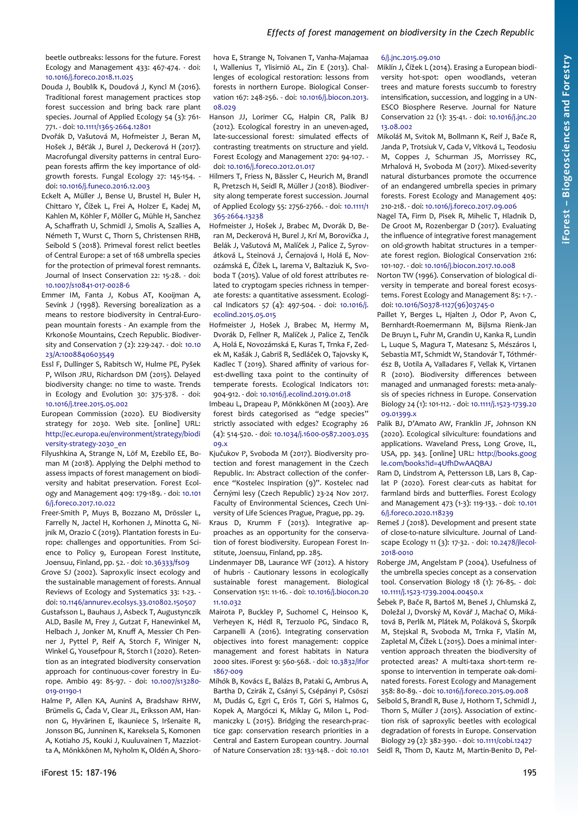beetle outbreaks: lessons for the future. Forest Ecology and Management 433: 467-474. - doi: [10.1016/j.foreco.2018.11.025](https://doi.org/10.1016/j.foreco.2018.11.025)

- Douda J, Boublík K, Doudová J, Kyncl M (2016). Traditional forest management practices stop forest succession and bring back rare plant species. Journal of Applied Ecology 54 (3): 761- 771. - doi: [10.1111/1365-2664.12801](https://doi.org/10.1111/1365-2664.12801)
- Dvořák D, Vašutová M, Hofmeister J, Beran M, Hošek J, Běťák J, Burel J, Deckerová H (2017). Macrofungal diversity patterns in central European forests affirm the key importance of oldgrowth forests. Fungal Ecology 27: 145-154. doi: [10.1016/j.funeco.2016.12.003](https://doi.org/10.1016/j.funeco.2016.12.003)
- Eckelt A, Müller J, Bense U, Brustel H, Buler H, Chittaro Y, Čížek L, Frei A, Holzer E, Kadej M, Kahlen M, Köhler F, Möller G, Mühle H, Sanchez A, Schaffrath U, Schmidl J, Smolis A, Szallies A, Németh T, Wurst C, Thorn S, Christensen RHB, Seibold S (2018). Primeval forest relict beetles of Central Europe: a set of 168 umbrella species for the protection of primeval forest remnants. Journal of Insect Conservation 22: 15-28. - doi: [10.1007/s10841-017-0028-6](https://doi.org/10.1007/s10841-017-0028-6)
- Emmer IM, Fanta J, Kobus AT, Kooijman A, Sevink J (1998). Reversing borealization as a means to restore biodiversity in Central-European mountain forests - An example from the Krkonoše Mountains, Czech Republic. Biodiversity and Conservation 7 (2): 229-247. - doi: [10.10](https://doi.org/10.1023/A:1008840603549) [23/A:1008840603549](https://doi.org/10.1023/A:1008840603549)
- Essl F, Dullinger S, Rabitsch W, Hulme PE, Pyšek P, Wilson JRU, Richardson DM (2015). Delayed biodiversity change: no time to waste. Trends in Ecology and Evolution 30: 375-378. - doi: [10.1016/j.tree.2015.05.002](https://doi.org/10.1016/j.tree.2015.05.002)
- European Commission (2020). EU Biodiversity strategy for 2030. Web site. [online] URL: [http://ec.europa.eu/environment/strategy/biodi](http://ec.europa.eu/environment/strategy/biodiversity-strategy-2030_en) [versity-strategy-2030\\_en](http://ec.europa.eu/environment/strategy/biodiversity-strategy-2030_en)
- Filyushkina A, Strange N, Löf M, Ezebilo EE, Boman M (2018). Applying the Delphi method to assess impacts of forest management on biodiversity and habitat preservation. Forest Ecology and Management 409: 179-189. - doi: [10.101](https://doi.org/10.1016/j.foreco.2017.10.022) [6/j.foreco.2017.10.022](https://doi.org/10.1016/j.foreco.2017.10.022)
- Freer-Smith P, Muys B, Bozzano M, Drössler L, Farrelly N, Jactel H, Korhonen J, Minotta G, Nijnik M, Orazio C (2019). Plantation forests in Europe: challenges and opportunities. From Science to Policy 9, European Forest Institute, Joensuu, Finland, pp. 52. - doi: [10.36333/fs09](https://doi.org/10.36333/fs09)
- Grove SJ (2002). Saproxylic insect ecology and the sustainable management of forests. Annual Reviews of Ecology and Systematics 33: 1-23. doi: [10.1146/annurev.ecolsys.33.010802.150507](https://doi.org/10.1146/annurev.ecolsys.33.010802.150507)
- Gustafsson L, Bauhaus J, Asbeck T, Augustynczik ALD, Basile M, Frey J, Gutzat F, Hanewinkel M, Helbach J, Jonker M, Knuff A, Messier Ch Penner J, Pyttel P, Reif A, Storch F, Winiger N, Winkel G, Yousefpour R, Storch I (2020). Retention as an integrated biodiversity conservation approach for continuous-cover forestry in Europe. Ambio 49: 85-97. - doi: [10.1007/s13280-](https://doi.org/10.1007/s13280-019-01190-1) [019-01190-1](https://doi.org/10.1007/s13280-019-01190-1)
- Halme P, Allen KA, Auninš A, Bradshaw RHW, Brümelis G, Čada V, Clear JL, Eriksson AM, Hannon G, Hyvärinen E, Ikauniece S, Iršenaite R, Jonsson BG, Junninen K, Kareksela S, Komonen A, Kotiaho JS, Kouki J, Kuuluvainen T, Mazziotta A, Mönkkönen M, Nyholm K, Oldén A, Shoro-

hova E, Strange N, Toivanen T, Vanha-Majamaa I, Wallenius T, Ylisirniö AL, Zin E (2013). Challenges of ecological restoration: lessons from forests in northern Europe. Biological Conservation 167: 248-256. - doi: [10.1016/j.biocon.2013.](https://doi.org/10.1016/j.biocon.2013.08.029) [08.029](https://doi.org/10.1016/j.biocon.2013.08.029)

- Hanson JJ, Lorimer CG, Halpin CR, Palik BJ (2012). Ecological forestry in an uneven-aged, late-successional forest: simulated effects of contrasting treatments on structure and yield. Forest Ecology and Management 270: 94-107. doi: [10.1016/j.foreco.2012.01.017](https://doi.org/10.1016/j.foreco.2012.01.017)
- Hilmers T, Friess N, Bässler C, Heurich M, Brandl R, Pretzsch H, Seidl R, Müller J (2018). Biodiversity along temperate forest succession. Journal of Applied Ecology 55: 2756-2766. - doi: [10.1111/1](https://doi.org/10.1111/1365-2664.13238) [365-2664.13238](https://doi.org/10.1111/1365-2664.13238)
- Hofmeister J, Hošek J, Brabec M, Dvorák D, Beran M, Deckerová H, Burel J, Krí M, Borovička J, Belák J, Vašutová M, Malíček J, Palice Z, Syrovátková L, Steinová J, Černajová I, Holá E, Novozámská E, Čížek L, Iarema V, Baltaziuk K, Svoboda T (2015). Value of old forest attributes related to cryptogam species richness in temperate forests: a quantitative assessment. Ecological Indicators 57 (4): 497-504. - doi: [10.1016/j.](https://doi.org/10.1016/j.ecolind.2015.05.015) [ecolind.2015.05.015](https://doi.org/10.1016/j.ecolind.2015.05.015)
- Hofmeister J, Hošek J, Brabec M, Hermy M, Dvorák D, Fellner R, Malíček J, Palice Z, Tenčík A, Holá E, Novozámská E, Kuras T, Trnka F, Zedek M, Kašák J, Gabriš R, Sedláček O, Tajovsky K, Kadlec T (2019). Shared affinity of various forest-dwelling taxa point to the continuity of temperate forests. Ecological Indicators 101: 904-912. - doi: [10.1016/j.ecolind.2019.01.018](https://doi.org/10.1016/j.ecolind.2019.01.018)
- Imbeau L, Drapeau P, Mönkkönen M (2003). Are forest birds categorised as "edge species" strictly associated with edges? Ecography 26 (4): 514-520. - doi: [10.1034/j.1600-0587.2003.035](https://doi.org/10.1034/j.1600-0587.2003.03509.x)  $09.x$
- Kjučukov P, Svoboda M (2017). Biodiversity protection and forest management in the Czech Republic. In: Abstract collection of the conference "Kostelec Inspiration (9)". Kostelec nad Černými lesy (Czech Republic) 23-24 Nov 2017. Faculty of Environmental Sciences, Czech University of Life Sciences Prague, Prague, pp. 29. Kraus D, Krumm F (2013). Integrative ap-
- proaches as an opportunity for the conservation of forest biodiversity. European Forest Institute, Joensuu, Finland, pp. 285.
- Lindenmayer DB, Laurance WF (2012). A history of hubris - Cautionary lessons in ecologically sustainable forest management. Biological Conservation 151: 11-16. - doi: [10.1016/j.biocon.20](https://doi.org/10.1016/j.biocon.2011.10.032) [11.10.032](https://doi.org/10.1016/j.biocon.2011.10.032)
- Mairota P, Buckley P, Suchomel C, Heinsoo K, Verheyen K, Hédl R, Terzuolo PG, Sindaco R, Carpanelli A (2016). Integrating conservation objectives into forest management: coppice management and forest habitats in Natura 2000 sites. iForest 9: 560-568. - doi: [10.3832/ifor](https://doi.org/10.3832/ifor1867-009) [1867-009](https://doi.org/10.3832/ifor1867-009)
- Mihók B, Kovács E, Balázs B, Pataki G, Ambrus A, Bartha D, Czirák Z, Csányi S, Csépányi P, Csöszi M, Dudás G, Egri C, Erös T, Göri S, Halmos G, Kopek A, Margóczi K, Miklay G, Milon L, Podmaniczky L (2015). Bridging the research-practice gap: conservation research priorities in a Central and Eastern European country. Journal of Nature Conservation 28: 133-148. - doi: [10.101](https://doi.org/10.1016/j.jnc.2015.09.010)

#### [6/j.jnc.2015.09.010](https://doi.org/10.1016/j.jnc.2015.09.010)

- Miklín J, Čížek L (2014). Erasing a European biodiversity hot-spot: open woodlands, veteran trees and mature forests succumb to forestry intensification, succession, and logging in a UN-ESCO Biosphere Reserve. Journal for Nature Conservation 22 (1): 35-41. - doi: [10.1016/j.jnc.20](https://doi.org/10.1016/j.jnc.2013.08.002) [13.08.002](https://doi.org/10.1016/j.jnc.2013.08.002)
- Mikoláš M, Svitok M, Bollmann K, Reif J, Bače R, Janda P, Trotsiuk V, Cada V, Vítková L, Teodosiu M, Coppes J, Schurman JS, Morrissey RC, Mrhalová H, Svoboda M (2017). Mixed-severity natural disturbances promote the occurrence of an endangered umbrella species in primary forests. Forest Ecology and Management 405: 210-218. - doi: [10.1016/j.foreco.2017.09.006](https://doi.org/10.1016/j.foreco.2017.09.006)
- Nagel TA, Firm D, Pisek R, Mihelic T, Hladnik D, De Groot M, Rozenbergar D (2017). Evaluating the influence of integrative forest management on old-growth habitat structures in a temperate forest region. Biological Conservation 216: 101-107. - doi: [10.1016/j.biocon.2017.10.008](https://doi.org/10.1016/j.biocon.2017.10.008)
- Norton TW (1996). Conservation of biological diversity in temperate and boreal forest ecosystems. Forest Ecology and Management 85: 1-7. doi: [10.1016/S0378-1127\(96\)03745-0](https://doi.org/10.1016/S0378-1127(96)03745-0)
- Paillet Y, Berges L, Hjalten J, Odor P, Avon C, Bernhardt-Roemermann M, Bijlsma Rienk-Jan De Bruyn L, Fuhr M, Grandin U, Kanka R, Lundin L, Luque S, Magura T, Matesanz S, Mészáros I, Sebastia MT, Schmidt W, Standovár T, Tóthmérész B, Uotila A, Valladares F, Vellak K, Virtanen R (2010). Biodiversity differences between managed and unmanaged forests: meta-analysis of species richness in Europe. Conservation Biology 24 (1): 101-112. - doi: [10.1111/j.1523-1739.20](https://doi.org/10.1111/j.1523-1739.2009.01399.x) [09.01399.x](https://doi.org/10.1111/j.1523-1739.2009.01399.x)
- Palik BJ, D'Amato AW, Franklin JF, Johnson KN (2020). Ecological silviculture: foundations and applications. Waveland Press, Long Grove, IL, USA, pp. 343. [online] URL: [http://books.goog](http://books.google.com/books?id=4UfhDwAAQBAJ) [le.com/books?id=4UfhDwAAQBAJ](http://books.google.com/books?id=4UfhDwAAQBAJ)
- Ram D, Lindstrom A, Pettersson LB, Lars B, Caplat P (2020). Forest clear-cuts as habitat for farmland birds and butterflies. Forest Ecology and Management 473 (1-3): 119-133. - doi: [10.101](https://doi.org/10.1016/j.foreco.2020.118239) [6/j.foreco.2020.118239](https://doi.org/10.1016/j.foreco.2020.118239)
- Remeš J (2018). Development and present state of close-to-nature silviculture. Journal of Landscape Ecology 11 (3): 17-32. - doi: [10.2478/jlecol-](https://doi.org/10.2478/jlecol-2018-0010)[2018-0010](https://doi.org/10.2478/jlecol-2018-0010)
- Roberge JM, Angelstam P (2004). Usefulness of the umbrella species concept as a conservation tool. Conservation Biology 18 (1): 76-85. - doi: [10.1111/j.1523-1739.2004.00450.x](https://doi.org/10.1111/j.1523-1739.2004.00450.x)
- Šebek P, Bače R, Bartoš M, Beneš J, Chlumská Z, Doležal J, Dvorský M, Kovář J, Machač O, Mikátová B, Perlík M, Plátek M, Poláková S, Škorpík M, Stejskal R, Svoboda M, Trnka F, Vlašín M, Zapletal M, Čížek L (2015). Does a minimal intervention approach threaten the biodiversity of protected areas? A multi-taxa short-term response to intervention in temperate oak-dominated forests. Forest Ecology and Management 358: 80-89. - doi: [10.1016/j.foreco.2015.09.008](https://doi.org/10.1016/j.foreco.2015.09.008)
- Seibold S, Brandl R, Buse J, Hothorn T, Schmidl J, Thorn S, Müller J (2015). Association of extinction risk of saproxylic beetles with ecological degradation of forests in Europe. Conservation Biology 29 (2): 382-390. - doi: [10.1111/cobi.12427](https://doi.org/10.1111/cobi.12427) Seidl R, Thom D, Kautz M, Martin-Benito D, Pel-